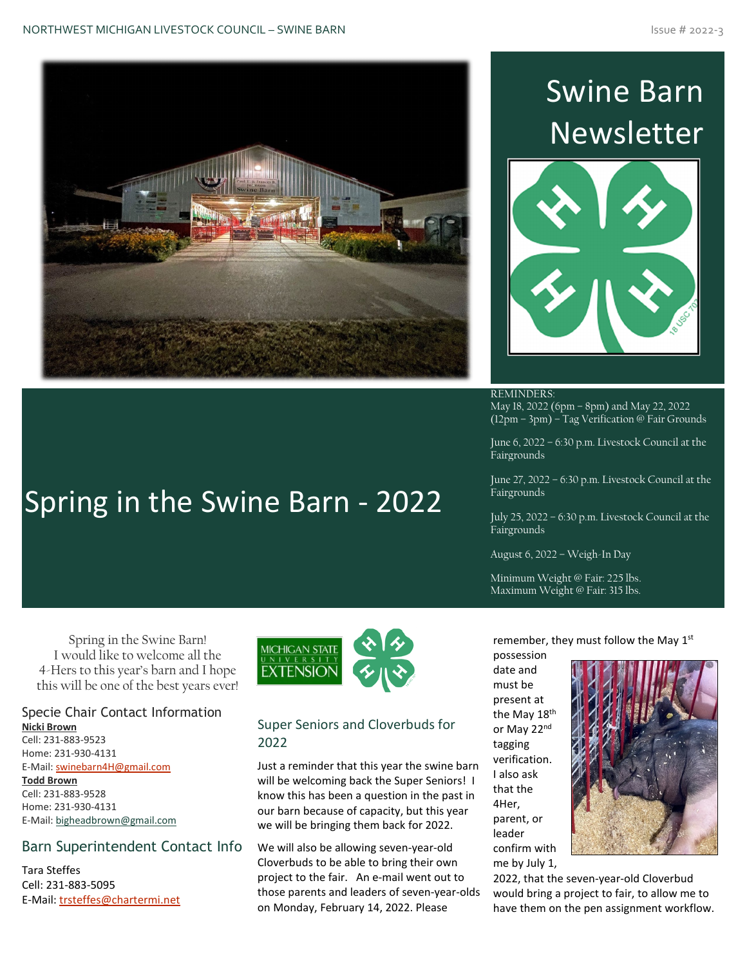

Spring in the Swine Barn - 2022

# Swine Barn Newsletter



REMINDERS: May 18, 2022 (6pm – 8pm) and May 22, 2022 (12pm – 3pm) – Tag Verification @ Fair Grounds

June 6, 2022 – 6:30 p.m. Livestock Council at the **Fairgrounds** 

June 27, 2022 – 6:30 p.m. Livestock Council at the Fairgrounds

July 25, 2022 – 6:30 p.m. Livestock Council at the Fairgrounds

August 6, 2022 – Weigh-In Day

Minimum Weight @ Fair: 225 lbs. Maximum Weight @ Fair: 315 lbs.

Spring in the Swine Barn! I would like to welcome all the 4-Hers to this year's barn and I hope this will be one of the best years ever!

#### Specie Chair Contact Information **Nicki Brown**

Cell: 231-883-9523 Home: 231-930-4131 E-Mail: [swinebarn4H@gmail.com](mailto:swinebarn4H@gmail.com) **Todd Brown** Cell: 231-883-9528 Home: 231-930-4131 E-Mail[: bigheadbrown@gmail.com](mailto:bigheadbrown@gmail.com)

#### Barn Superintendent Contact Info

Tara Steffes Cell: 231-883-5095 E-Mail: [trsteffes@chartermi.net](mailto:trsteffes@chartermi.net)



#### Super Seniors and Cloverbuds for 2022

Just a reminder that this year the swine barn will be welcoming back the Super Seniors! I know this has been a question in the past in our barn because of capacity, but this year we will be bringing them back for 2022.

We will also be allowing seven-year-old Cloverbuds to be able to bring their own project to the fair. An e-mail went out to those parents and leaders of seven-year-olds on Monday, February 14, 2022. Please

remember, they must follow the May 1st

possession date and must be present at the May 18<sup>th</sup> or May 22nd tagging verification. I also ask that the 4Her, parent, or leader confirm with me by July 1,



2022, that the seven-year-old Cloverbud would bring a project to fair, to allow me to have them on the pen assignment workflow.